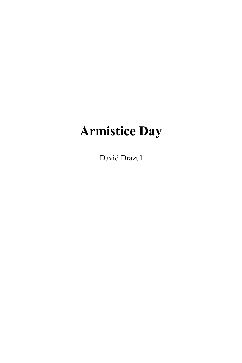# **Armistice Day**

David Drazul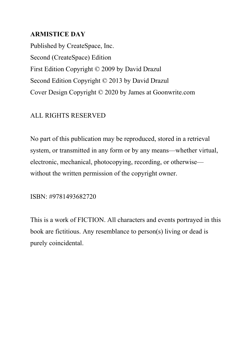# **ARMISTICE DAY**

Published by CreateSpace, Inc. Second (CreateSpace) Edition First Edition Copyright © 2009 by David Drazul Second Edition Copyright © 2013 by David Drazul Cover Design Copyright © 2020 by James at Goonwrite.com

# ALL RIGHTS RESERVED

No part of this publication may be reproduced, stored in a retrieval system, or transmitted in any form or by any means—whether virtual, electronic, mechanical, photocopying, recording, or otherwise without the written permission of the copyright owner.

ISBN: #9781493682720

This is a work of FICTION. All characters and events portrayed in this book are fictitious. Any resemblance to person(s) living or dead is purely coincidental.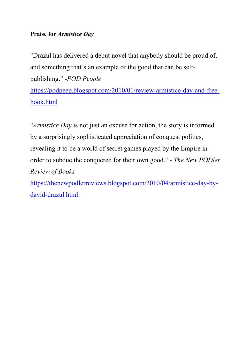## **Praise for** *Armistice Day*

"Drazul has delivered a debut novel that anybody should be proud of, and something that's an example of the good that can be selfpublishing." -*POD People*

[https://podpeep.blogspot.com/2010/01/review-armistice-day-and-free](http://podpeep.blogspot.com/2010/01/review-armistice-day-and-free-book.html)[book.html](http://podpeep.blogspot.com/2010/01/review-armistice-day-and-free-book.html)

"*Armistice Day* is not just an excuse for action, the story is informed by a surprisingly sophisticated appreciation of conquest politics, revealing it to be a world of secret games played by the Empire in order to subdue the conquered for their own good." - *The New PODler Review of Books*

[https://thenewpodlerreviews.blogspot.com/2010/04/armistice-day-by](https://thenewpodlerreviews.blogspot.com/2010/04/armistice-day-by-david-drazul.html)[david-drazul.html](https://thenewpodlerreviews.blogspot.com/2010/04/armistice-day-by-david-drazul.html)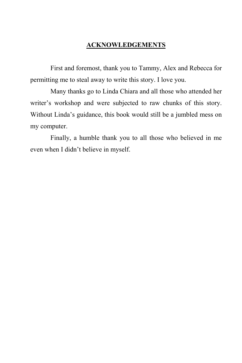### **ACKNOWLEDGEMENTS**

First and foremost, thank you to Tammy, Alex and Rebecca for permitting me to steal away to write this story. I love you.

Many thanks go to Linda Chiara and all those who attended her writer's workshop and were subjected to raw chunks of this story. Without Linda's guidance, this book would still be a jumbled mess on my computer.

Finally, a humble thank you to all those who believed in me even when I didn't believe in myself.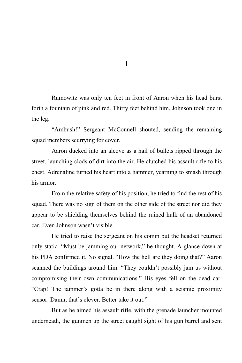Rumowitz was only ten feet in front of Aaron when his head burst forth a fountain of pink and red. Thirty feet behind him, Johnson took one in the leg.

"Ambush!" Sergeant McConnell shouted, sending the remaining squad members scurrying for cover.

Aaron ducked into an alcove as a hail of bullets ripped through the street, launching clods of dirt into the air. He clutched his assault rifle to his chest. Adrenaline turned his heart into a hammer, yearning to smash through his armor.

From the relative safety of his position, he tried to find the rest of his squad. There was no sign of them on the other side of the street nor did they appear to be shielding themselves behind the ruined hulk of an abandoned car. Even Johnson wasn't visible.

He tried to raise the sergeant on his comm but the headset returned only static. "Must be jamming our network," he thought. A glance down at his PDA confirmed it. No signal. "How the hell are they doing that?" Aaron scanned the buildings around him. "They couldn't possibly jam us without compromising their own communications." His eyes fell on the dead car. "Crap! The jammer's gotta be in there along with a seismic proximity sensor. Damn, that's clever. Better take it out."

But as he aimed his assault rifle, with the grenade launcher mounted underneath, the gunmen up the street caught sight of his gun barrel and sent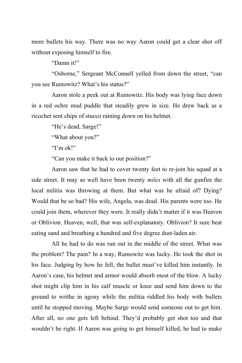more bullets his way. There was no way Aaron could get a clear shot off without exposing himself to fire.

"Damn it!"

"Osborne," Sergeant McConnell yelled from down the street, "can you see Rumowitz? What's his status?"

Aaron stole a peek out at Rumowitz. His body was lying face down in a red ochre mud puddle that steadily grew in size. He drew back as a ricochet sent chips of stucco raining down on his helmet.

"He's dead, Sarge!"

"What about you?"

" $I'm$  ok!"

"Can you make it back to our position?"

Aaron saw that he had to cover twenty feet to re-join his squad at a side street. It may as well have been twenty *miles* with all the gunfire the local militia was throwing at them. But what was he afraid of? Dying? Would that be so bad? His wife, Angela, was dead. His parents were too. He could join them, wherever they were. It really didn't matter if it was Heaven or Oblivion. Heaven, well, that was self-explanatory. Oblivion? It sure beat eating sand and breathing a hundred and five degree dust-laden air.

All he had to do was run out in the middle of the street. What was the problem? The pain? In a way, Rumowitz was lucky. He took the shot in his face. Judging by how he fell, the bullet must've killed him instantly. In Aaron's case, his helmet and armor would absorb most of the blow. A lucky shot might clip him in his calf muscle or knee and send him down to the ground to writhe in agony while the militia riddled his body with bullets until he stopped moving. Maybe Sarge would send someone out to get him. After all, no one gets left behind. They'd probably get shot too and that wouldn't be right. If Aaron was going to get himself killed, he had to make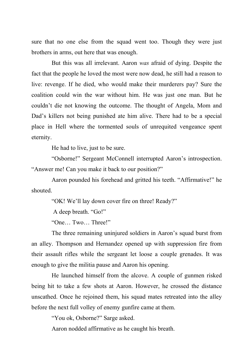sure that no one else from the squad went too. Though they were just brothers in arms, out here that was enough.

But this was all irrelevant. Aaron *was* afraid of dying. Despite the fact that the people he loved the most were now dead, he still had a reason to live: revenge. If he died, who would make their murderers pay? Sure the coalition could win the war without him. He was just one man. But he couldn't die not knowing the outcome. The thought of Angela, Mom and Dad's killers not being punished ate him alive. There had to be a special place in Hell where the tormented souls of unrequited vengeance spent eternity.

He had to live, just to be sure.

"Osborne!" Sergeant McConnell interrupted Aaron's introspection. "Answer me! Can you make it back to our position?"

Aaron pounded his forehead and gritted his teeth. "Affirmative!" he shouted.

"OK! We'll lay down cover fire on three! Ready?"

A deep breath. "Go!"

"One… Two… Three!"

The three remaining uninjured soldiers in Aaron's squad burst from an alley. Thompson and Hernandez opened up with suppression fire from their assault rifles while the sergeant let loose a couple grenades. It was enough to give the militia pause and Aaron his opening.

He launched himself from the alcove. A couple of gunmen risked being hit to take a few shots at Aaron. However, he crossed the distance unscathed. Once he rejoined them, his squad mates retreated into the alley before the next full volley of enemy gunfire came at them.

"You ok, Osborne?" Sarge asked.

Aaron nodded affirmative as he caught his breath.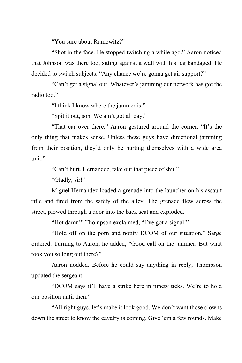"You sure about Rumowitz?"

"Shot in the face. He stopped twitching a while ago." Aaron noticed that Johnson was there too, sitting against a wall with his leg bandaged. He decided to switch subjects. "Any chance we're gonna get air support?"

"Can't get a signal out. Whatever's jamming our network has got the radio too."

"I think I know where the jammer is."

"Spit it out, son. We ain't got all day."

"That car over there." Aaron gestured around the corner. "It's the only thing that makes sense. Unless these guys have directional jamming from their position, they'd only be hurting themselves with a wide area unit."

"Can't hurt. Hernandez, take out that piece of shit."

"Gladly, sir!"

Miguel Hernandez loaded a grenade into the launcher on his assault rifle and fired from the safety of the alley. The grenade flew across the street, plowed through a door into the back seat and exploded.

"Hot damn!" Thompson exclaimed, "I've got a signal!"

"Hold off on the porn and notify DCOM of our situation," Sarge ordered. Turning to Aaron, he added, "Good call on the jammer. But what took you so long out there?"

Aaron nodded. Before he could say anything in reply, Thompson updated the sergeant.

"DCOM says it'll have a strike here in ninety ticks. We're to hold our position until then."

"All right guys, let's make it look good. We don't want those clowns down the street to know the cavalry is coming. Give 'em a few rounds. Make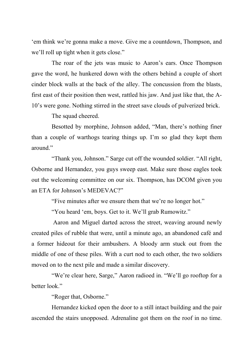'em think we're gonna make a move. Give me a countdown, Thompson, and we'll roll up tight when it gets close."

The roar of the jets was music to Aaron's ears. Once Thompson gave the word, he hunkered down with the others behind a couple of short cinder block walls at the back of the alley. The concussion from the blasts, first east of their position then west, rattled his jaw. And just like that, the A-10's were gone. Nothing stirred in the street save clouds of pulverized brick.

The squad cheered.

Besotted by morphine, Johnson added, "Man, there's nothing finer than a couple of warthogs tearing things up. I'm so glad they kept them around."

"Thank you, Johnson." Sarge cut off the wounded soldier. "All right, Osborne and Hernandez, you guys sweep east. Make sure those eagles took out the welcoming committee on our six. Thompson, has DCOM given you an ETA for Johnson's MEDEVAC?"

"Five minutes after we ensure them that we're no longer hot."

"You heard 'em, boys. Get to it. We'll grab Rumowitz."

Aaron and Miguel darted across the street, weaving around newly created piles of rubble that were, until a minute ago, an abandoned café and a former hideout for their ambushers. A bloody arm stuck out from the middle of one of these piles. With a curt nod to each other, the two soldiers moved on to the next pile and made a similar discovery.

"We're clear here, Sarge," Aaron radioed in. "We'll go rooftop for a better look."

"Roger that, Osborne."

Hernandez kicked open the door to a still intact building and the pair ascended the stairs unopposed. Adrenaline got them on the roof in no time.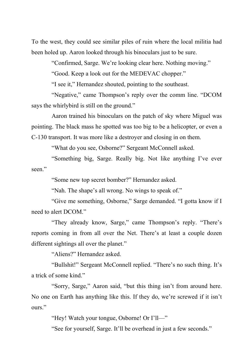To the west, they could see similar piles of ruin where the local militia had been holed up. Aaron looked through his binoculars just to be sure.

"Confirmed, Sarge. We're looking clear here. Nothing moving."

"Good. Keep a look out for the MEDEVAC chopper."

"I see it," Hernandez shouted, pointing to the southeast.

"Negative," came Thompson's reply over the comm line. "DCOM says the whirly bird is still on the ground."

Aaron trained his binoculars on the patch of sky where Miguel was pointing. The black mass he spotted was too big to be a helicopter, or even a C-130 transport. It was more like a destroyer and closing in on them.

"What do you see, Osborne?" Sergeant McConnell asked.

"Something big, Sarge. Really big. Not like anything I've ever seen."

"Some new top secret bomber?" Hernandez asked.

"Nah. The shape's all wrong. No wings to speak of."

"Give me something, Osborne," Sarge demanded. "I gotta know if I need to alert DCOM."

"They already know, Sarge," came Thompson's reply. "There's reports coming in from all over the Net. There's at least a couple dozen different sightings all over the planet."

"Aliens?" Hernandez asked.

"Bullshit!" Sergeant McConnell replied. "There's no such thing. It's a trick of some kind."

"Sorry, Sarge," Aaron said, "but this thing isn't from around here. No one on Earth has anything like this. If they do, we're screwed if it isn't ours."

"Hey! Watch your tongue, Osborne! Or I'll—"

"See for yourself, Sarge. It'll be overhead in just a few seconds."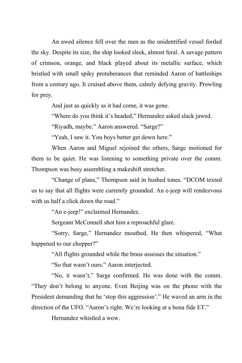An awed silence fell over the men as the unidentified vessel forded the sky. Despite its size, the ship looked sleek, almost feral. A savage pattern of crimson, orange, and black played about its metallic surface, which bristled with small spiky protuberances that reminded Aaron of battleships from a century ago. It cruised above them, calmly defying gravity. Prowling for prey.

And just as quickly as it had come, it was gone.

"Where do you think it's headed," Hernandez asked slack jawed.

"Riyadh, maybe." Aaron answered. "Sarge?"

"Yeah, I saw it. You boys better get down here."

When Aaron and Miguel rejoined the others, Sarge motioned for them to be quiet. He was listening to something private over the comm. Thompson was busy assembling a makeshift stretcher.

"Change of plans," Thompson said in hushed tones. "DCOM texted us to say that all flights were currently grounded. An e-jeep will rendezvous with us half a click down the road."

"An e-jeep!" exclaimed Hernandez.

Sergeant McConnell shot him a reproachful glare.

"Sorry, Sarge," Hernandez mouthed. He then whispered, "What happened to our chopper?"

"All flights grounded while the brass assesses the situation."

"So that wasn't ours." Aaron interjected.

"No, it wasn't," Sarge confirmed. He was done with the comm. "They don't belong to anyone. Even Beijing was on the phone with the President demanding that he 'stop this aggression'." He waved an arm in the direction of the UFO. "Aaron's right. We're looking at a bona fide ET."

Hernandez whistled a wow.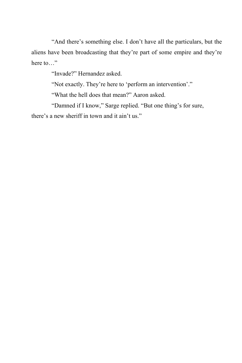"And there's something else. I don't have all the particulars, but the aliens have been broadcasting that they're part of some empire and they're here to…"

"Invade?" Hernandez asked.

"Not exactly. They're here to 'perform an intervention'."

"What the hell does that mean?" Aaron asked.

"Damned if I know," Sarge replied. "But one thing's for sure, there's a new sheriff in town and it ain't us."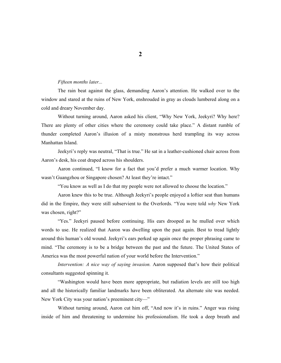#### *Fifteen months later...*

The rain beat against the glass, demanding Aaron's attention. He walked over to the window and stared at the ruins of New York, enshrouded in gray as clouds lumbered along on a cold and dreary November day.

Without turning around, Aaron asked his client, "Why New York, Jeekyri? Why here? There are plenty of other cities where the ceremony could take place." A distant rumble of thunder completed Aaron's illusion of a misty monstrous herd trampling its way across Manhattan Island.

Jeekyri's reply was neutral, "That is true." He sat in a leather-cushioned chair across from Aaron's desk, his coat draped across his shoulders.

Aaron continued, "I know for a fact that you'd prefer a much warmer location. Why wasn't Guangzhou or Singapore chosen? At least they're intact."

"You know as well as I do that my people were not allowed to choose the location."

Aaron knew this to be true. Although Jeekyri's people enjoyed a loftier seat than humans did in the Empire, they were still subservient to the Overlords. "You were told *why* New York was chosen, right?"

"Yes." Jeekyri paused before continuing. His ears drooped as he mulled over which words to use. He realized that Aaron was dwelling upon the past again. Best to tread lightly around this human's old wound. Jeekyri's ears perked up again once the proper phrasing came to mind. "The ceremony is to be a bridge between the past and the future. The United States of America was the most powerful nation of your world before the Intervention."

*Intervention: A nice way of saying invasion.* Aaron supposed that's how their political consultants suggested spinning it.

"Washington would have been more appropriate, but radiation levels are still too high and all the historically familiar landmarks have been obliterated. An alternate site was needed. New York City was your nation's preeminent city—"

Without turning around, Aaron cut him off, "And now it's in ruins." Anger was rising inside of him and threatening to undermine his professionalism. He took a deep breath and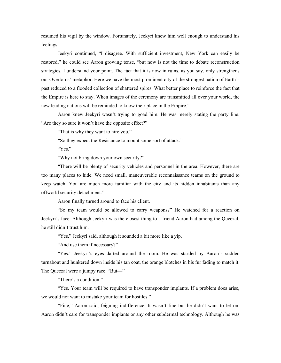resumed his vigil by the window. Fortunately, Jeekyri knew him well enough to understand his feelings.

Jeekyri continued, "I disagree. With sufficient investment, New York can easily be restored," he could see Aaron growing tense, "but now is not the time to debate reconstruction strategies. I understand your point. The fact that it is now in ruins, as you say, only strengthens our Overlords' metaphor. Here we have the most prominent city of the strongest nation of Earth's past reduced to a flooded collection of shattered spires. What better place to reinforce the fact that the Empire is here to stay. When images of the ceremony are transmitted all over your world, the new leading nations will be reminded to know their place in the Empire."

Aaron knew Jeekyri wasn't trying to goad him. He was merely stating the party line. "Are they so sure it won't have the opposite effect?"

"That is why they want to hire you."

"So they expect the Resistance to mount some sort of attack."

"Yes."

"Why not bring down your own security?"

"There will be plenty of security vehicles and personnel in the area. However, there are too many places to hide. We need small, maneuverable reconnaissance teams on the ground to keep watch. You are much more familiar with the city and its hidden inhabitants than any offworld security detachment."

Aaron finally turned around to face his client.

"So my team would be allowed to carry weapons?" He watched for a reaction on Jeekyri's face. Although Jeekyri was the closest thing to a friend Aaron had among the Queezal, he still didn't trust him.

"Yes," Jeekyri said, although it sounded a bit more like a yip.

"And use them if necessary?"

"Yes." Jeekyri's eyes darted around the room. He was startled by Aaron's sudden turnabout and hunkered down inside his tan coat, the orange blotches in his fur fading to match it. The Queezal were a jumpy race. "But—"

"There's a condition."

"Yes. Your team will be required to have transponder implants. If a problem does arise, we would not want to mistake your team for hostiles."

"Fine," Aaron said, feigning indifference. It wasn't fine but he didn't want to let on. Aaron didn't care for transponder implants or any other subdermal technology. Although he was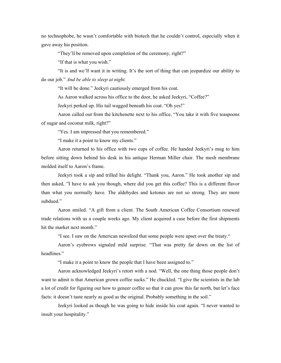no technophobe, he wasn't comfortable with biotech that he couldn't control, especially when it gave away his position.

"They'll be removed upon completion of the ceremony, right?"

"If that is what you wish."

"It is and we'll want it in writing. It's the sort of thing that can jeopardize our ability to do our job." *And be able to sleep at night.*

"It will be done." Jeekyri cautiously emerged from his coat.

As Aaron walked across his office to the door, he asked Jeekyri, "Coffee?"

Jeekyri perked up. His tail wagged beneath his coat. "Oh yes!"

Aaron called out from the kitchenette next to his office, "You take it with five teaspoons of sugar and coconut milk, right?"

"Yes. I am impressed that you remembered."

"I make it a point to know my clients."

Aaron returned to his office with two cups of coffee. He handed Jeekyri's mug to him before sitting down behind his desk in his antique Herman Miller chair. The mesh membrane molded itself to Aaron's frame.

Jeekyri took a sip and trilled his delight. "Thank you, Aaron." He took another sip and then asked, "I have to ask you though, where did you get this coffee? This is a different flavor than what you normally have. The aldehydes and ketones are not so strong. They are more subdued."

Aaron smiled. "A gift from a client. The South American Coffee Consortium renewed trade relations with us a couple weeks ago. My client acquired a case before the first shipments hit the market next month."

"I see. I saw on the American newsfeed that some people were upset over the treaty."

Aaron's eyebrows signaled mild surprise. "That was pretty far down on the list of headlines."

"I make it a point to know the people that I have been assigned to."

Aaron acknowledged Jeekyri's retort with a nod. "Well, the one thing those people don't want to admit is that American grown coffee sucks." He chuckled. "I give the scientists in the lab a lot of credit for figuring out how to geneer coffee so that it can grow this far north, but let's face facts: it doesn't taste nearly as good as the original. Probably something in the soil."

Jeekyri looked as though he was going to hide inside his coat again. "I never wanted to insult your hospitality."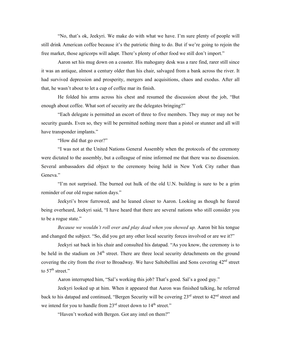"No, that's ok, Jeekyri. We make do with what we have. I'm sure plenty of people will still drink American coffee because it's the patriotic thing to do. But if we're going to rejoin the free market, those agricorps will adapt. There's plenty of other food we still don't import."

Aaron set his mug down on a coaster. His mahogany desk was a rare find, rarer still since it was an antique, almost a century older than his chair, salvaged from a bank across the river. It had survived depression and prosperity, mergers and acquisitions, chaos and exodus. After all that, he wasn't about to let a cup of coffee mar its finish.

He folded his arms across his chest and resumed the discussion about the job, "But enough about coffee. What sort of security are the delegates bringing?"

"Each delegate is permitted an escort of three to five members. They may or may not be security guards. Even so, they will be permitted nothing more than a pistol or stunner and all will have transponder implants."

"How did that go over?"

"I was not at the United Nations General Assembly when the protocols of the ceremony were dictated to the assembly, but a colleague of mine informed me that there was no dissension. Several ambassadors did object to the ceremony being held in New York City rather than Geneva."

"I'm not surprised. The burned out hulk of the old U.N. building is sure to be a grim reminder of our old rogue nation days."

Jeekyri's brow furrowed, and he leaned closer to Aaron. Looking as though he feared being overheard, Jeekyri said, "I have heard that there are several nations who still consider you to be a rogue state."

*Because we wouldn't roll over and play dead when you showed up.* Aaron bit his tongue and changed the subject. "So, did you get any other local security forces involved or are we it?"

Jeekyri sat back in his chair and consulted his datapad. "As you know, the ceremony is to be held in the stadium on 34<sup>th</sup> street. There are three local security detachments on the ground covering the city from the river to Broadway. We have Saltobellini and Sons covering  $42<sup>nd</sup>$  street to  $57<sup>th</sup>$  street."

Aaron interrupted him, "Sal's working this job? That's good. Sal's a good guy."

Jeekyri looked up at him. When it appeared that Aaron was finished talking, he referred back to his datapad and continued, "Bergen Security will be covering  $23<sup>rd</sup>$  street to  $42<sup>nd</sup>$  street and we intend for you to handle from  $23<sup>rd</sup>$  street down to  $14<sup>th</sup>$  street."

"Haven't worked with Bergen. Got any intel on them?"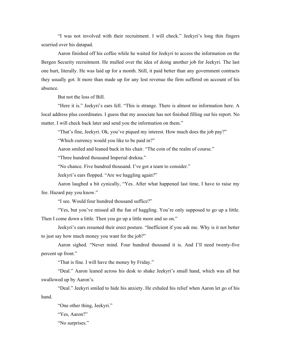"I was not involved with their recruitment. I will check." Jeekyri's long thin fingers scurried over his datapad.

Aaron finished off his coffee while he waited for Jeekyri to access the information on the Bergen Security recruitment. He mulled over the idea of doing another job for Jeekyri. The last one hurt, literally. He was laid up for a month. Still, it paid better than any government contracts they usually got. It more than made up for any lost revenue the firm suffered on account of his absence.

But not the loss of Bill.

"Here it is." Jeekyri's ears fell. "This is strange. There is almost no information here. A local address plus coordinates. I guess that my associate has not finished filling out his report. No matter. I will check back later and send you the information on them."

"That's fine, Jeekyri. Ok, you've piqued my interest. How much does the job pay?"

"Which currency would you like to be paid in?"

Aaron smiled and leaned back in his chair. "The coin of the realm of course."

"Three hundred thousand Imperial drekna."

"No chance. Five hundred thousand. I've got a team to consider."

Jeekyri's ears flopped. "Are we haggling again?"

Aaron laughed a bit cynically, "Yes. After what happened last time, I have to raise my fee. Hazard pay you know."

"I see. Would four hundred thousand suffice?"

"Yes, but you've missed all the fun of haggling. You're only supposed to go up a little. Then I come down a little. Then you go up a little more and so on."

Jeekyri's ears resumed their erect posture. "Inefficient if you ask me. Why is it not better to just say how much money you want for the job?"

Aaron sighed. "Never mind. Four hundred thousand it is. And I'll need twenty-five percent up front."

"That is fine. I will have the money by Friday."

"Deal." Aaron leaned across his desk to shake Jeekyri's small hand, which was all but swallowed up by Aaron's.

"Deal." Jeekyri smiled to hide his anxiety. He exhaled his relief when Aaron let go of his hand.

"One other thing, Jeekyri."

"Yes, Aaron?"

"No surprises."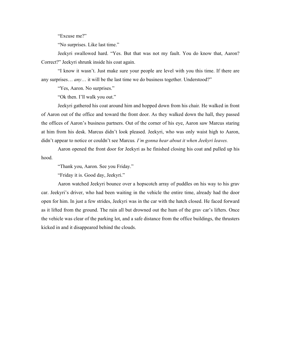"Excuse me?"

"No surprises. Like last time."

Jeekyri swallowed hard. "Yes. But that was not my fault. You do know that, Aaron? Correct?" Jeekyri shrunk inside his coat again.

"I know it wasn't. Just make sure your people are level with you this time. If there are any surprises… *any*… it will be the last time we do business together. Understood?"

"Yes, Aaron. No surprises."

"Ok then. I'll walk you out."

Jeekyri gathered his coat around him and hopped down from his chair. He walked in front of Aaron out of the office and toward the front door. As they walked down the hall, they passed the offices of Aaron's business partners. Out of the corner of his eye, Aaron saw Marcus staring at him from his desk. Marcus didn't look pleased. Jeekyri, who was only waist high to Aaron, didn't appear to notice or couldn't see Marcus*. I'm gonna hear about it when Jeekyri leaves.*

Aaron opened the front door for Jeekyri as he finished closing his coat and pulled up his hood.

"Thank you, Aaron. See you Friday."

"Friday it is. Good day, Jeekyri."

Aaron watched Jeekyri bounce over a hopscotch array of puddles on his way to his grav car. Jeekyri's driver, who had been waiting in the vehicle the entire time, already had the door open for him. In just a few strides, Jeekyri was in the car with the hatch closed. He faced forward as it lifted from the ground. The rain all but drowned out the hum of the grav car's lifters. Once the vehicle was clear of the parking lot, and a safe distance from the office buildings, the thrusters kicked in and it disappeared behind the clouds.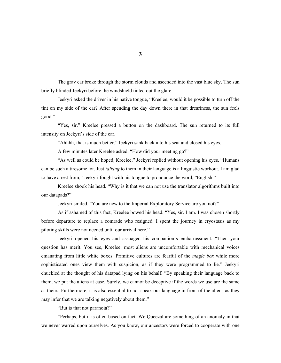The grav car broke through the storm clouds and ascended into the vast blue sky. The sun briefly blinded Jeekyri before the windshield tinted out the glare.

Jeekyri asked the driver in his native tongue, "Kreelee, would it be possible to turn off the tint on my side of the car? After spending the day down there in that dreariness, the sun feels good."

"Yes, sir." Kreelee pressed a button on the dashboard. The sun returned to its full intensity on Jeekyri's side of the car.

"Ahhhh, that is much better." Jeekyri sank back into his seat and closed his eyes.

A few minutes later Kreelee asked, "How did your meeting go?"

"As well as could be hoped, Kreelee," Jeekyri replied without opening his eyes. "Humans can be such a tiresome lot. Just *talking* to them in their language is a linguistic workout. I am glad to have a rest from," Jeekyri fought with his tongue to pronounce the word, "English."

Kreelee shook his head. "Why is it that we can not use the translator algorithms built into our datapads?"

Jeekyri smiled. "You are new to the Imperial Exploratory Service are you not?"

As if ashamed of this fact, Kreelee bowed his head. "Yes, sir. I am. I was chosen shortly before departure to replace a comrade who resigned. I spent the journey in cryostasis as my piloting skills were not needed until our arrival here."

Jeekyri opened his eyes and assuaged his companion's embarrassment. "Then your question has merit. You see, Kreelee, most aliens are uncomfortable with mechanical voices emanating from little white boxes. Primitive cultures are fearful of the *magic box* while more sophisticated ones view them with suspicion, as if they were programmed to lie." Jeekyri chuckled at the thought of his datapad lying on his behalf. "By speaking their language back to them, we put the aliens at ease. Surely, we cannot be deceptive if the words we use are the same as theirs. Furthermore, it is also essential to not speak our language in front of the aliens as they may infer that we are talking negatively about them."

"But is that not paranoia?"

"Perhaps, but it is often based on fact. We Queezal are something of an anomaly in that we never warred upon ourselves. As you know, our ancestors were forced to cooperate with one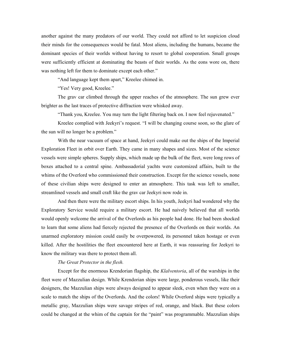another against the many predators of our world. They could not afford to let suspicion cloud their minds for the consequences would be fatal. Most aliens, including the humans, became the dominant species of their worlds without having to resort to global cooperation. Small groups were sufficiently efficient at dominating the beasts of their worlds. As the eons wore on, there was nothing left for them to dominate except each other."

"And language kept them apart," Kreelee chimed in.

"Yes! Very good, Kreelee."

The grav car climbed through the upper reaches of the atmosphere. The sun grew ever brighter as the last traces of protective diffraction were whisked away.

"Thank you, Kreelee. You may turn the light filtering back on. I now feel rejuvenated."

Kreelee complied with Jeekyri's request. "I will be changing course soon, so the glare of the sun will no longer be a problem."

With the near vacuum of space at hand, Jeekyri could make out the ships of the Imperial Exploration Fleet in orbit over Earth. They came in many shapes and sizes. Most of the science vessels were simple spheres. Supply ships, which made up the bulk of the fleet, were long rows of boxes attached to a central spine. Ambassadorial yachts were customized affairs, built to the whims of the Overlord who commissioned their construction. Except for the science vessels, none of these civilian ships were designed to enter an atmosphere. This task was left to smaller, streamlined vessels and small craft like the grav car Jeekyri now rode in.

And then there were the military escort ships. In his youth, Jeekyri had wondered why the Exploratory Service would require a military escort. He had naively believed that all worlds would openly welcome the arrival of the Overlords as his people had done. He had been shocked to learn that some aliens had fiercely rejected the presence of the Overlords on their worlds. An unarmed exploratory mission could easily be overpowered, its personnel taken hostage or even killed. After the hostilities the fleet encountered here at Earth, it was reassuring for Jeekyri to know the military was there to protect them all.

#### *The Great Protector in the flesh.*

Except for the enormous Krendorian flagship, the *Klalventoria*, all of the warships in the fleet were of Mazzulian design. While Krendorian ships were large, ponderous vessels, like their designers, the Mazzulian ships were always designed to appear sleek, even when they were on a scale to match the ships of the Overlords. And the colors! While Overlord ships were typically a metallic gray, Mazzulian ships were savage stripes of red, orange, and black. But these colors could be changed at the whim of the captain for the "paint" was programmable. Mazzulian ships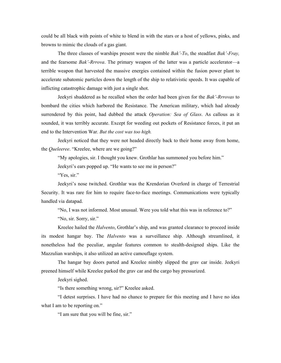could be all black with points of white to blend in with the stars or a host of yellows, pinks, and browns to mimic the clouds of a gas giant.

The three classes of warships present were the nimble *Bak'-To*, the steadfast *Bak'-Fray,*  and the fearsome *Bak'-Rrrova*. The primary weapon of the latter was a particle accelerator—a terrible weapon that harvested the massive energies contained within the fusion power plant to accelerate subatomic particles down the length of the ship to relativistic speeds. It was capable of inflicting catastrophic damage with just a single shot.

Jeekyri shuddered as he recalled when the order had been given for the *Bak'-Rrrovas* to bombard the cities which harbored the Resistance. The American military, which had already surrendered by this point, had dubbed the attack *Operation: Sea of Glass*. As callous as it sounded, it was terribly accurate. Except for weeding out pockets of Resistance forces, it put an end to the Intervention War. *But the cost was too high.*

Jeekyri noticed that they were not headed directly back to their home away from home, the *Queleeree*. "Kreelee, where are we going?"

"My apologies, sir. I thought you knew. Grothlar has summoned you before him."

Jeekyri's ears popped up. "He wants to see me in person?"

"Yes, sir."

Jeekyri's nose twitched. Grothlar was the Krendorian Overlord in charge of Terrestrial Security. It was rare for him to require face-to-face meetings. Communications were typically handled via datapad.

"No, I was not informed. Most unusual. Were you told what this was in reference to?"

"No, sir. Sorry, sir."

Kreelee hailed the *Halvento*, Grothlar's ship, and was granted clearance to proceed inside its modest hangar bay. The *Halvento* was a surveillance ship. Although streamlined, it nonetheless had the peculiar, angular features common to stealth-designed ships. Like the Mazzulian warships, it also utilized an active camouflage system.

The hangar bay doors parted and Kreelee nimbly slipped the grav car inside. Jeekyri preened himself while Kreelee parked the grav car and the cargo bay pressurized.

Jeekyri sighed.

"Is there something wrong, sir?" Kreelee asked.

"I detest surprises. I have had no chance to prepare for this meeting and I have no idea what I am to be reporting on."

"I am sure that you will be fine, sir."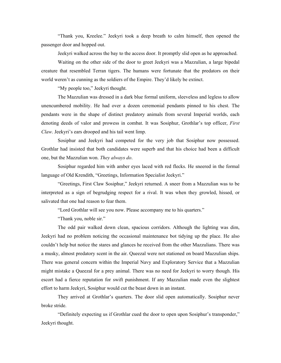"Thank you, Kreelee." Jeekyri took a deep breath to calm himself, then opened the passenger door and hopped out.

Jeekyri walked across the bay to the access door. It promptly slid open as he approached.

Waiting on the other side of the door to greet Jeekyri was a Mazzulian, a large bipedal creature that resembled Terran tigers. The humans were fortunate that the predators on their world weren't as cunning as the soldiers of the Empire. They'd likely be extinct.

"My people too," Jeekyri thought.

The Mazzulian was dressed in a dark blue formal uniform, sleeveless and legless to allow unencumbered mobility. He had over a dozen ceremonial pendants pinned to his chest. The pendants were in the shape of distinct predatory animals from several Imperial worlds, each denoting deeds of valor and prowess in combat. It was Sosiphur, Grothlar's top officer, *First Claw*. Jeekyri's ears drooped and his tail went limp.

Sosiphur and Jeekyri had competed for the very job that Sosiphur now possessed. Grothlar had insisted that both candidates were superb and that his choice had been a difficult one, but the Mazzulian won. *They always do*.

Sosiphur regarded him with amber eyes laced with red flecks. He sneered in the formal language of Old Krendith, "Greetings, Information Specialist Jeekyri."

"Greetings, First Claw Sosiphur," Jeekyri returned. A sneer from a Mazzulian was to be interpreted as a sign of begrudging respect for a rival. It was when they growled, hissed, or salivated that one had reason to fear them.

"Lord Grothlar will see you now. Please accompany me to his quarters."

"Thank you, noble sir."

The odd pair walked down clean, spacious corridors. Although the lighting was dim, Jeekyri had no problem noticing the occasional maintenance bot tidying up the place. He also couldn't help but notice the stares and glances he received from the other Mazzulians. There was a musky, almost predatory scent in the air. Queezal were not stationed on board Mazzulian ships. There was general concern within the Imperial Navy and Exploratory Service that a Mazzulian might mistake a Queezal for a prey animal. There was no need for Jeekyri to worry though. His escort had a fierce reputation for swift punishment. If any Mazzulian made even the slightest effort to harm Jeekyri, Sosiphur would cut the beast down in an instant.

They arrived at Grothlar's quarters. The door slid open automatically. Sosiphur never broke stride.

"Definitely expecting us if Grothlar cued the door to open upon Sosiphur's transponder," Jeekyri thought.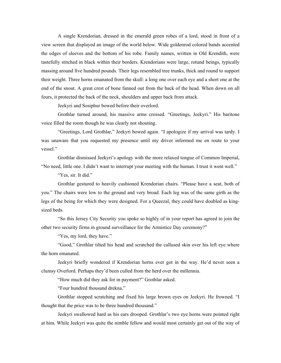A single Krendorian, dressed in the emerald green robes of a lord, stood in front of a view screen that displayed an image of the world below. Wide goldenrod colored bands accented the edges of sleeves and the bottom of his robe. Family names, written in Old Krendith, were tastefully stitched in black within their borders. Krendorians were large, rotund beings, typically massing around five hundred pounds. Their legs resembled tree trunks, thick and round to support their weight. Three horns emanated from the skull: a long one over each eye and a short one at the end of the snout. A great crest of bone fanned out from the back of the head. When down on all fours, it protected the back of the neck, shoulders and upper back from attack.

Jeekyri and Sosiphur bowed before their overlord.

Grothlar turned around, his massive arms crossed. "Greetings, Jeekyri." His baritone voice filled the room though he was clearly not shouting.

"Greetings, Lord Grothlar," Jeekyri bowed again. "I apologize if my arrival was tardy. I was unaware that you requested my presence until my driver informed me en route to your vessel."

Grothlar dismissed Jeekyri's apology with the more relaxed tongue of Common Imperial, "No need, little one. I didn't want to interrupt your meeting with the human. I trust it went well."

"Yes, sir. It did."

Grothlar gestured to heavily cushioned Krendorian chairs. "Please have a seat, both of you." The chairs were low to the ground and very broad. Each leg was of the same girth as the legs of the being for which they were designed. For a Queezal, they could have doubled as kingsized beds.

"So this Jersey City Security you spoke so highly of in your report has agreed to join the other two security firms in ground surveillance for the Armistice Day ceremony?"

"Yes, my lord, they have."

"Good," Grothlar tilted his head and scratched the callused skin over his left eye where the horn emanated.

Jeekyri briefly wondered if Krendorian horns ever got in the way. He'd never seen a clumsy Overlord. Perhaps they'd been culled from the herd over the millennia.

"How much did they ask for in payment?" Grothlar asked.

"Four hundred thousand drekna."

Grothlar stopped scratching and fixed his large brown eyes on Jeekyri. He frowned. "I thought that the price was to be three hundred thousand."

Jeekyri swallowed hard as his ears drooped. Grothlar's two eye horns were pointed right at him. While Jeekyri was quite the nimble fellow and would most certainly get out of the way of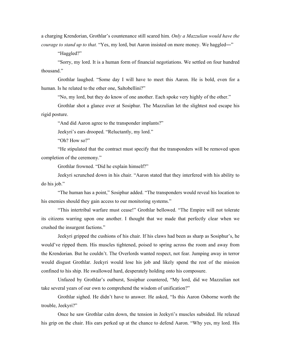a charging Krendorian, Grothlar's countenance still scared him. *Only a Mazzulian would have the courage to stand up to that.* "Yes, my lord, but Aaron insisted on more money. We haggled—"

"Haggled?"

"Sorry, my lord. It is a human form of financial negotiations. We settled on four hundred thousand."

Grothlar laughed. "Some day I will have to meet this Aaron. He is bold, even for a human. Is he related to the other one, Saltobellini?"

"No, my lord, but they do know of one another. Each spoke very highly of the other."

Grothlar shot a glance over at Sosiphur. The Mazzulian let the slightest nod escape his rigid posture.

"And did Aaron agree to the transponder implants?"

Jeekyri's ears drooped. "Reluctantly, my lord."

"Oh? How so?"

"He stipulated that the contract must specify that the transponders will be removed upon completion of the ceremony."

Grothlar frowned. "Did he explain himself?"

Jeekyri scrunched down in his chair. "Aaron stated that they interfered with his ability to do his job."

"The human has a point," Sosiphur added. "The transponders would reveal his location to his enemies should they gain access to our monitoring systems."

"This intertribal warfare must cease!" Grothlar bellowed. "The Empire will not tolerate its citizens warring upon one another. I thought that we made that perfectly clear when we crushed the insurgent factions."

Jeekyri gripped the cushions of his chair. If his claws had been as sharp as Sosiphur's, he would've ripped them. His muscles tightened, poised to spring across the room and away from the Krendorian. But he couldn't. The Overlords wanted respect, not fear. Jumping away in terror would disgust Grothlar. Jeekyri would lose his job and likely spend the rest of the mission confined to his ship. He swallowed hard, desperately holding onto his composure.

Unfazed by Grothlar's outburst, Sosiphur countered, "My lord, did we Mazzulian not take several years of our own to comprehend the wisdom of unification?"

Grothlar sighed. He didn't have to answer. He asked, "Is this Aaron Osborne worth the trouble, Jeekyri?"

Once he saw Grothlar calm down, the tension in Jeekyri's muscles subsided. He relaxed his grip on the chair. His ears perked up at the chance to defend Aaron. "Why yes, my lord. His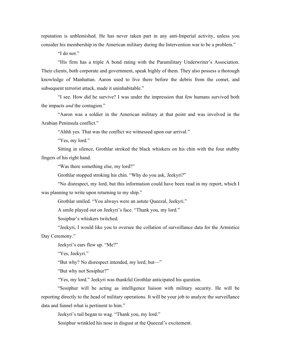reputation is unblemished. He has never taken part in any anti-Imperial activity, unless you consider his membership in the American military during the Intervention war to be a problem."

"I do not."

"His firm has a triple A bond rating with the Paramilitary Underwriter's Association. Their clients, both corporate and government, speak highly of them. They also possess a thorough knowledge of Manhattan. Aaron used to live there before the debris from the comet, and subsequent terrorist attack, made it uninhabitable."

"I see. How did he survive? I was under the impression that few humans survived both the impacts *and* the contagion."

"Aaron was a soldier in the American military at that point and was involved in the Arabian Peninsula conflict."

"Ahhh yes. That was the conflict we witnessed upon our arrival."

"Yes, my lord."

Sitting in silence, Grothlar stroked the black whiskers on his chin with the four stubby fingers of his right hand.

"Was there something else, my lord?"

Grothlar stopped stroking his chin. "Why do you ask, Jeekyri?"

"No disrespect, my lord, but this information could have been read in my report, which I was planning to write upon returning to my ship."

Grothlar smiled. "You always were an astute Queezal, Jeekyri."

A smile played out on Jeekyri's face. "Thank you, my lord."

Sosiphur's whiskers twitched.

"Jeekyri, I would like you to oversee the collation of surveillance data for the Armistice Day Ceremony."

Jeekyri's ears flew up. "Me?"

"Yes, Jeekyri."

"But why? No disrespect intended, my lord, but—"

"But why not Sosiphur?"

"Yes, my lord." Jeekyri was thankful Grothlar anticipated his question.

"Sosiphur will be acting as intelligence liaison with military security. He will be reporting directly to the head of military operations. It will be your job to analyze the surveillance data and funnel what is pertinent to him."

Jeekyri's tail began to wag. "Thank you, my lord."

Sosiphur wrinkled his nose in disgust at the Queezal's excitement.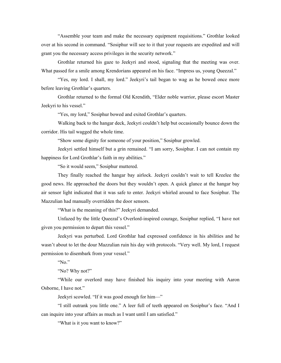"Assemble your team and make the necessary equipment requisitions." Grothlar looked over at his second in command. "Sosiphur will see to it that your requests are expedited and will grant you the necessary access privileges in the security network."

Grothlar returned his gaze to Jeekyri and stood, signaling that the meeting was over. What passed for a smile among Krendorians appeared on his face. "Impress us, young Queezal."

"Yes, my lord. I shall, my lord." Jeekyri's tail began to wag as he bowed once more before leaving Grothlar's quarters.

Grothlar returned to the formal Old Krendith, "Elder noble warrior, please escort Master Jeekyri to his vessel."

"Yes, my lord," Sosiphur bowed and exited Grothlar's quarters.

Walking back to the hangar deck, Jeekyri couldn't help but occasionally bounce down the corridor. His tail wagged the whole time.

"Show some dignity for someone of your position," Sosiphur growled.

Jeekyri settled himself but a grin remained. "I am sorry, Sosiphur. I can not contain my happiness for Lord Grothlar's faith in my abilities."

"So it would seem," Sosiphur muttered.

They finally reached the hangar bay airlock. Jeekyri couldn't wait to tell Kreelee the good news. He approached the doors but they wouldn't open. A quick glance at the hangar bay air sensor light indicated that it was safe to enter. Jeekyri whirled around to face Sosiphur. The Mazzulian had manually overridden the door sensors.

"What is the meaning of this?" Jeekyri demanded.

Unfazed by the little Queezal's Overlord-inspired courage, Sosiphur replied, "I have not given you permission to depart this vessel."

Jeekyri was perturbed. Lord Grothlar had expressed confidence in his abilities and he wasn't about to let the dour Mazzulian ruin his day with protocols. "Very well. My lord, I request permission to disembark from your vessel."

"No."

"No? Why not?"

"While our overlord may have finished his inquiry into your meeting with Aaron Osborne, I have not."

Jeekyri scowled. "If it was good enough for him—"

"I still outrank you little one." A leer full of teeth appeared on Sosiphur's face. "And I can inquire into your affairs as much as I want until I am satisfied."

"What is it you want to know?"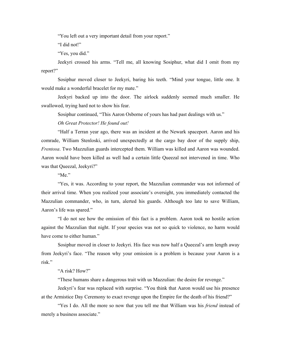"You left out a very important detail from your report."

"I did not!"

"Yes, you did."

Jeekyri crossed his arms. "Tell me, all knowing Sosiphur, what did I omit from my report?"

Sosiphur moved closer to Jeekyri, baring his teeth. "Mind your tongue, little one. It would make a wonderful bracelet for my mate."

Jeekyri backed up into the door. The airlock suddenly seemed much smaller. He swallowed, trying hard not to show his fear.

Sosiphur continued, "This Aaron Osborne of yours has had past dealings with us."

#### *Oh Great Protector! He found out!*

"Half a Terran year ago, there was an incident at the Newark spaceport. Aaron and his comrade, William Stenloski, arrived unexpectedly at the cargo bay door of the supply ship, *Frentosa*. Two Mazzulian guards intercepted them. William was killed and Aaron was wounded. Aaron would have been killed as well had a certain little Queezal not intervened in time. Who was that Queezal, Jeekyri?"

"Me."

"Yes, it was. According to your report, the Mazzulian commander was not informed of their arrival time. When you realized your associate's oversight, you immediately contacted the Mazzulian commander, who, in turn, alerted his guards. Although too late to save William, Aaron's life was spared."

"I do not see how the omission of this fact is a problem. Aaron took no hostile action against the Mazzulian that night. If your species was not so quick to violence, no harm would have come to either human."

Sosiphur moved in closer to Jeekyri. His face was now half a Queezal's arm length away from Jeekyri's face. "The reason why your omission is a problem is because your Aaron is a risk."

#### "A risk? How?"

"These humans share a dangerous trait with us Mazzulian: the desire for revenge."

Jeekyri's fear was replaced with surprise. "You think that Aaron would use his presence at the Armistice Day Ceremony to exact revenge upon the Empire for the death of his friend?"

"Yes I do. All the more so now that you tell me that William was his *friend* instead of merely a business associate."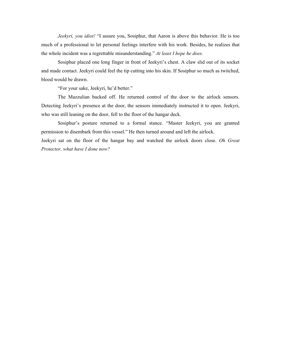*Jeekyri, you idiot!* "I assure you, Sosiphur, that Aaron is above this behavior. He is too much of a professional to let personal feelings interfere with his work. Besides, he realizes that the whole incident was a regrettable misunderstanding." *At least I hope he does.*

Sosiphur placed one long finger in front of Jeekyri's chest. A claw slid out of its socket and made contact. Jeekyri could feel the tip cutting into his skin. If Sosiphur so much as twitched, blood would be drawn.

"For your sake, Jeekyri, he'd better."

The Mazzulian backed off. He returned control of the door to the airlock sensors. Detecting Jeekyri's presence at the door, the sensors immediately instructed it to open. Jeekyri, who was still leaning on the door, fell to the floor of the hangar deck.

Sosiphur's posture returned to a formal stance. "Master Jeekyri, you are granted permission to disembark from this vessel." He then turned around and left the airlock.

Jeekyri sat on the floor of the hangar bay and watched the airlock doors close. *Oh Great Protector, what have I done now?*